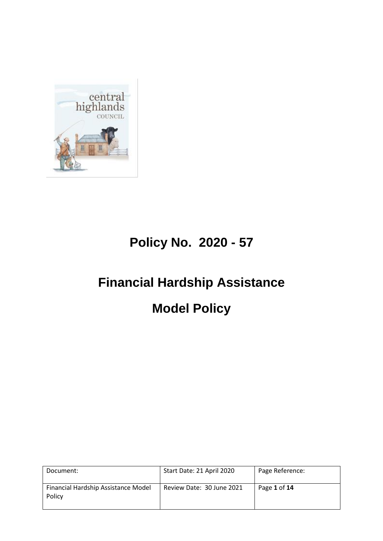

# **Policy No. 2020 - 57**

# **Financial Hardship Assistance**

# **Model Policy**

| Document:                                     | Start Date: 21 April 2020 | Page Reference: |
|-----------------------------------------------|---------------------------|-----------------|
| Financial Hardship Assistance Model<br>Policy | Review Date: 30 June 2021 | Page 1 of 14    |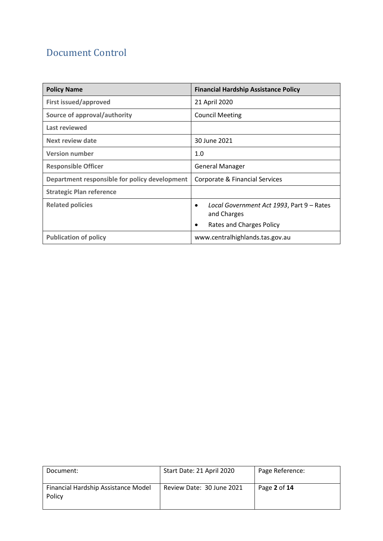## Document Control

| <b>Policy Name</b>                            | <b>Financial Hardship Assistance Policy</b>                           |
|-----------------------------------------------|-----------------------------------------------------------------------|
| <b>First issued/approved</b>                  | 21 April 2020                                                         |
| Source of approval/authority                  | <b>Council Meeting</b>                                                |
| Last reviewed                                 |                                                                       |
| Next review date                              | 30 June 2021                                                          |
| <b>Version number</b>                         | 1.0                                                                   |
| <b>Responsible Officer</b>                    | <b>General Manager</b>                                                |
| Department responsible for policy development | Corporate & Financial Services                                        |
| <b>Strategic Plan reference</b>               |                                                                       |
| <b>Related policies</b>                       | Local Government Act 1993, Part 9 – Rates<br>$\bullet$<br>and Charges |
|                                               | Rates and Charges Policy<br>$\bullet$                                 |
| <b>Publication of policy</b>                  | www.centralhighlands.tas.gov.au                                       |

| Document:                                     | Start Date: 21 April 2020 | Page Reference:  |
|-----------------------------------------------|---------------------------|------------------|
| Financial Hardship Assistance Model<br>Policy | Review Date: 30 June 2021 | Page $2$ of $14$ |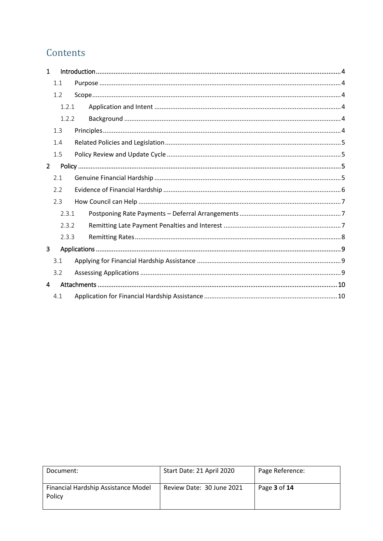## Contents

| $\mathbf{1}$   |       |  |
|----------------|-------|--|
|                | 1.1   |  |
|                | 1.2   |  |
|                | 1.2.1 |  |
|                | 1.2.2 |  |
|                | 1.3   |  |
|                | 1.4   |  |
|                | 1.5   |  |
| $\overline{2}$ |       |  |
|                | 2.1   |  |
|                | 2.2   |  |
|                | 2.3   |  |
|                | 2.3.1 |  |
|                | 2.3.2 |  |
|                | 2.3.3 |  |
| $\overline{3}$ |       |  |
|                | 3.1   |  |
|                | 3.2   |  |
| 4              |       |  |
|                | 4.1   |  |

| Document:                                     | Start Date: 21 April 2020 | Page Reference: |
|-----------------------------------------------|---------------------------|-----------------|
| Financial Hardship Assistance Model<br>Policy | Review Date: 30 June 2021 | Page 3 of 14    |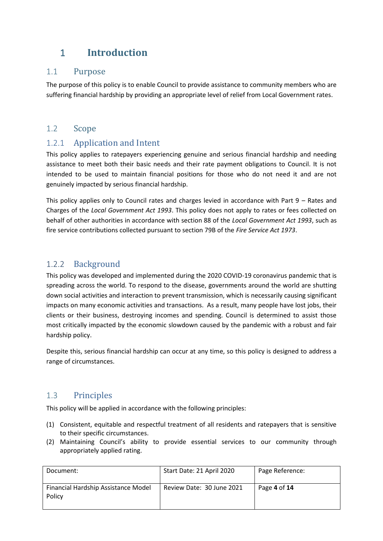## <span id="page-3-0"></span>1 **Introduction**

#### <span id="page-3-1"></span>1.1 Purpose

The purpose of this policy is to enable Council to provide assistance to community members who are suffering financial hardship by providing an appropriate level of relief from Local Government rates.

#### <span id="page-3-2"></span>1.2 Scope

#### <span id="page-3-3"></span>1.2.1 Application and Intent

This policy applies to ratepayers experiencing genuine and serious financial hardship and needing assistance to meet both their basic needs and their rate payment obligations to Council. It is not intended to be used to maintain financial positions for those who do not need it and are not genuinely impacted by serious financial hardship.

This policy applies only to Council rates and charges levied in accordance with Part  $9 -$  Rates and Charges of the *Local Government Act 1993*. This policy does not apply to rates or fees collected on behalf of other authorities in accordance with section 88 of the *Local Government Act 1993*, such as fire service contributions collected pursuant to section 79B of the *Fire Service Act 1973*.

#### <span id="page-3-4"></span>1.2.2 Background

This policy was developed and implemented during the 2020 COVID-19 coronavirus pandemic that is spreading across the world. To respond to the disease, governments around the world are shutting down social activities and interaction to prevent transmission, which is necessarily causing significant impacts on many economic activities and transactions. As a result, many people have lost jobs, their clients or their business, destroying incomes and spending. Council is determined to assist those most critically impacted by the economic slowdown caused by the pandemic with a robust and fair hardship policy.

Despite this, serious financial hardship can occur at any time, so this policy is designed to address a range of circumstances.

### <span id="page-3-5"></span>1.3 Principles

This policy will be applied in accordance with the following principles:

- (1) Consistent, equitable and respectful treatment of all residents and ratepayers that is sensitive to their specific circumstances.
- (2) Maintaining Council's ability to provide essential services to our community through appropriately applied rating.

| Document:                                     | Start Date: 21 April 2020 | Page Reference: |
|-----------------------------------------------|---------------------------|-----------------|
| Financial Hardship Assistance Model<br>Policy | Review Date: 30 June 2021 | Page 4 of 14    |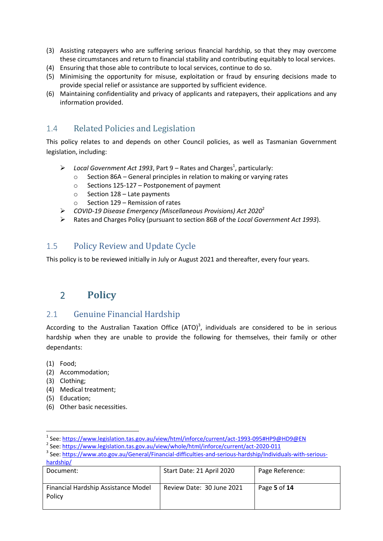- (3) Assisting ratepayers who are suffering serious financial hardship, so that they may overcome these circumstances and return to financial stability and contributing equitably to local services.
- (4) Ensuring that those able to contribute to local services, continue to do so.
- (5) Minimising the opportunity for misuse, exploitation or fraud by ensuring decisions made to provide special relief or assistance are supported by sufficient evidence.
- (6) Maintaining confidentiality and privacy of applicants and ratepayers, their applications and any information provided.

### <span id="page-4-0"></span>1.4 Related Policies and Legislation

This policy relates to and depends on other Council policies, as well as Tasmanian Government legislation, including:

- $\triangleright$  Local Government Act 1993, Part 9 Rates and Charges<sup>1</sup>, particularly:
	- o Section 86A General principles in relation to making or varying rates
	- o Sections 125-127 Postponement of payment
	- o Section 128 Late payments
	- $\circ$  Section 129 Remission of rates
- *COVID-19 Disease Emergency (Miscellaneous Provisions) Act 2020*<sup>2</sup>
- Rates and Charges Policy (pursuant to section 86B of the *Local Government Act 1993*).

#### <span id="page-4-1"></span>1.5 Policy Review and Update Cycle

This policy is to be reviewed initially in July or August 2021 and thereafter, every four years.

## <span id="page-4-2"></span>2 **Policy**

#### <span id="page-4-3"></span>2.1 Genuine Financial Hardship

According to the Australian Taxation Office (ATO)<sup>3</sup>, individuals are considered to be in serious hardship when they are unable to provide the following for themselves, their family or other dependants:

(1) Food;

**.** 

- (2) Accommodation;
- (3) Clothing;
- (4) Medical treatment;
- (5) Education;
- (6) Other basic necessities.

<sup>&</sup>lt;sup>3</sup> See: [https://www.ato.gov.au/General/Financial-difficulties-and-serious-hardship/Individuals-with-serious](https://www.ato.gov.au/General/Financial-difficulties-and-serious-hardship/Individuals-with-serious-hardship/)[hardship/](https://www.ato.gov.au/General/Financial-difficulties-and-serious-hardship/Individuals-with-serious-hardship/)

| <b>Haluship</b>                               |                           |                 |
|-----------------------------------------------|---------------------------|-----------------|
| Document:                                     | Start Date: 21 April 2020 | Page Reference: |
| Financial Hardship Assistance Model<br>Policy | Review Date: 30 June 2021 | Page 5 of 14    |

<sup>&</sup>lt;sup>1</sup> See: <u>https://www.legislation.tas.gov.au/view/html/inforce/current/act-1993-095#HP9@HD9@EN</u>

<sup>&</sup>lt;sup>2</sup> See:<https://www.legislation.tas.gov.au/view/whole/html/inforce/current/act-2020-011>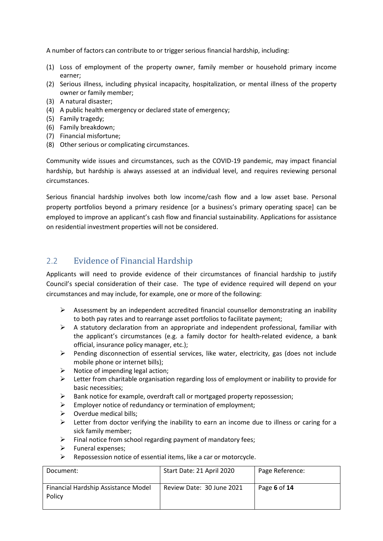A number of factors can contribute to or trigger serious financial hardship, including:

- (1) Loss of employment of the property owner, family member or household primary income earner;
- (2) Serious illness, including physical incapacity, hospitalization, or mental illness of the property owner or family member;
- (3) A natural disaster;
- (4) A public health emergency or declared state of emergency;
- (5) Family tragedy;
- (6) Family breakdown;
- (7) Financial misfortune;
- (8) Other serious or complicating circumstances.

Community wide issues and circumstances, such as the COVID-19 pandemic, may impact financial hardship, but hardship is always assessed at an individual level, and requires reviewing personal circumstances.

Serious financial hardship involves both low income/cash flow and a low asset base. Personal property portfolios beyond a primary residence [or a business's primary operating space] can be employed to improve an applicant's cash flow and financial sustainability. Applications for assistance on residential investment properties will not be considered.

#### <span id="page-5-0"></span>2.2 Evidence of Financial Hardship

Applicants will need to provide evidence of their circumstances of financial hardship to justify Council's special consideration of their case. The type of evidence required will depend on your circumstances and may include, for example, one or more of the following:

- $\triangleright$  Assessment by an independent accredited financial counsellor demonstrating an inability to both pay rates and to rearrange asset portfolios to facilitate payment;
- $\triangleright$  A statutory declaration from an appropriate and independent professional, familiar with the applicant's circumstances (e.g. a family doctor for health-related evidence, a bank official, insurance policy manager, etc.);
- $\triangleright$  Pending disconnection of essential services, like water, electricity, gas (does not include mobile phone or internet bills);
- $\triangleright$  Notice of impending legal action;
- $\triangleright$  Letter from charitable organisation regarding loss of employment or inability to provide for basic necessities;
- $\triangleright$  Bank notice for example, overdraft call or mortgaged property repossession;
- $\triangleright$  Employer notice of redundancy or termination of employment;
- $\triangleright$  Overdue medical bills;
- $\triangleright$  Letter from doctor verifying the inability to earn an income due to illness or caring for a sick family member;
- $\triangleright$  Final notice from school regarding payment of mandatory fees:
- $\triangleright$  Funeral expenses:
- $\triangleright$  Repossession notice of essential items, like a car or motorcycle.

| Document:                                     | Start Date: 21 April 2020 | Page Reference: |
|-----------------------------------------------|---------------------------|-----------------|
| Financial Hardship Assistance Model<br>Policy | Review Date: 30 June 2021 | Page 6 of 14    |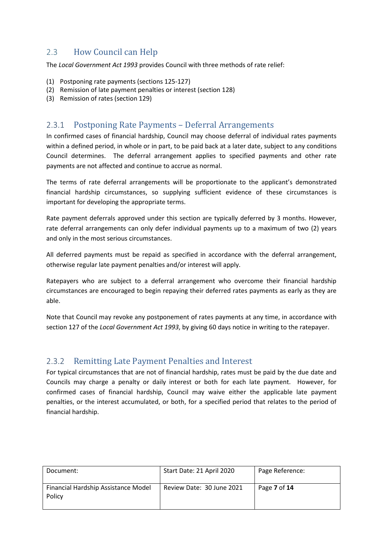### <span id="page-6-0"></span>2.3 How Council can Help

The *Local Government Act 1993* provides Council with three methods of rate relief:

- (1) Postponing rate payments (sections 125-127)
- (2) Remission of late payment penalties or interest (section 128)
- (3) Remission of rates (section 129)

#### <span id="page-6-1"></span>2.3.1 Postponing Rate Payments – Deferral Arrangements

In confirmed cases of financial hardship, Council may choose deferral of individual rates payments within a defined period, in whole or in part, to be paid back at a later date, subject to any conditions Council determines. The deferral arrangement applies to specified payments and other rate payments are not affected and continue to accrue as normal.

The terms of rate deferral arrangements will be proportionate to the applicant's demonstrated financial hardship circumstances, so supplying sufficient evidence of these circumstances is important for developing the appropriate terms.

Rate payment deferrals approved under this section are typically deferred by 3 months. However, rate deferral arrangements can only defer individual payments up to a maximum of two (2) years and only in the most serious circumstances.

All deferred payments must be repaid as specified in accordance with the deferral arrangement, otherwise regular late payment penalties and/or interest will apply.

Ratepayers who are subject to a deferral arrangement who overcome their financial hardship circumstances are encouraged to begin repaying their deferred rates payments as early as they are able.

Note that Council may revoke any postponement of rates payments at any time, in accordance with section 127 of the *Local Government Act 1993*, by giving 60 days notice in writing to the ratepayer.

#### <span id="page-6-2"></span>2.3.2 Remitting Late Payment Penalties and Interest

For typical circumstances that are not of financial hardship, rates must be paid by the due date and Councils may charge a penalty or daily interest or both for each late payment. However, for confirmed cases of financial hardship, Council may waive either the applicable late payment penalties, or the interest accumulated, or both, for a specified period that relates to the period of financial hardship.

| Document:                                     | Start Date: 21 April 2020 | Page Reference: |
|-----------------------------------------------|---------------------------|-----------------|
| Financial Hardship Assistance Model<br>Policy | Review Date: 30 June 2021 | Page 7 of 14    |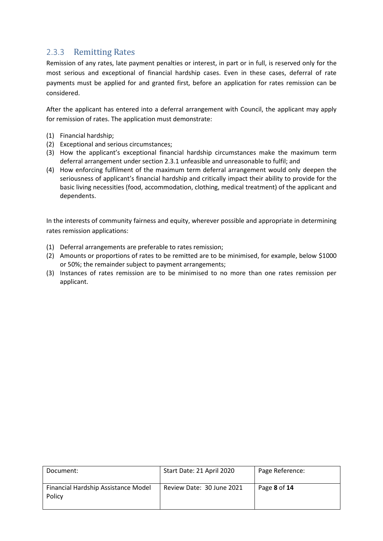#### <span id="page-7-0"></span>2.3.3 Remitting Rates

Remission of any rates, late payment penalties or interest, in part or in full, is reserved only for the most serious and exceptional of financial hardship cases. Even in these cases, deferral of rate payments must be applied for and granted first, before an application for rates remission can be considered.

After the applicant has entered into a deferral arrangement with Council, the applicant may apply for remission of rates. The application must demonstrate:

- (1) Financial hardship;
- (2) Exceptional and serious circumstances;
- (3) How the applicant's exceptional financial hardship circumstances make the maximum term deferral arrangement under section [2.3.1](#page-6-1) unfeasible and unreasonable to fulfil; and
- (4) How enforcing fulfilment of the maximum term deferral arrangement would only deepen the seriousness of applicant's financial hardship and critically impact their ability to provide for the basic living necessities (food, accommodation, clothing, medical treatment) of the applicant and dependents.

In the interests of community fairness and equity, wherever possible and appropriate in determining rates remission applications:

- (1) Deferral arrangements are preferable to rates remission;
- (2) Amounts or proportions of rates to be remitted are to be minimised, for example, below \$1000 or 50%; the remainder subject to payment arrangements;
- (3) Instances of rates remission are to be minimised to no more than one rates remission per applicant.

| Document:                                     | Start Date: 21 April 2020 | Page Reference: |
|-----------------------------------------------|---------------------------|-----------------|
| Financial Hardship Assistance Model<br>Policy | Review Date: 30 June 2021 | Page 8 of 14    |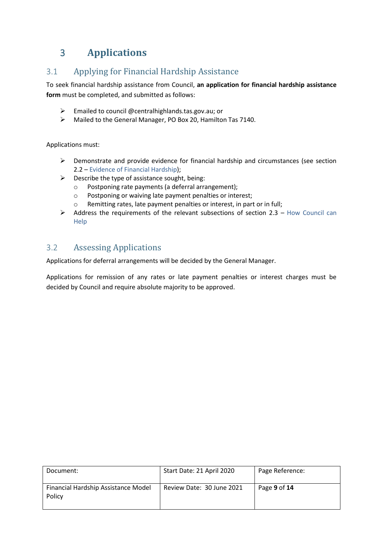## <span id="page-8-0"></span>3 **Applications**

### <span id="page-8-1"></span>3.1 Applying for Financial Hardship Assistance

To seek financial hardship assistance from Council, **an application for financial hardship assistance form** must be completed, and submitted as follows:

- Emailed to council @centralhighlands.tas.gov.au; or
- Mailed to the General Manager, PO Box 20, Hamilton Tas 7140.

Applications must:

- $\triangleright$  Demonstrate and provide evidence for financial hardship and circumstances (see section [2.2](#page-5-0) – [Evidence of Financial Hardship\)](#page-5-0);
- $\triangleright$  Describe the type of assistance sought, being:
	- o Postponing rate payments (a deferral arrangement);
	- o Postponing or waiving late payment penalties or interest;
	- o Remitting rates, late payment penalties or interest, in part or in full;
- $\triangleright$  Address the requirements of the relevant subsections of section [2.3](#page-6-0) How Council can [Help](#page-6-0)

#### <span id="page-8-2"></span>3.2 Assessing Applications

Applications for deferral arrangements will be decided by the General Manager.

Applications for remission of any rates or late payment penalties or interest charges must be decided by Council and require absolute majority to be approved.

| Document:                                     | Start Date: 21 April 2020 | Page Reference: |
|-----------------------------------------------|---------------------------|-----------------|
| Financial Hardship Assistance Model<br>Policy | Review Date: 30 June 2021 | Page 9 of 14    |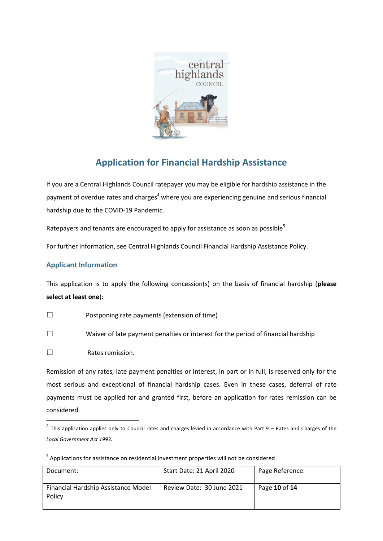

## **Application for Financial Hardship Assistance**

If you are a Central Highlands Council ratepayer you may be eligible for hardship assistance in the payment of overdue rates and charges<sup>4</sup> where you are experiencing genuine and serious financial hardship due to the COVID-19 Pandemic.

Ratepayers and tenants are encouraged to apply for assistance as soon as possible<sup>5</sup>.

For further information, see Central Highlands Council Financial Hardship Assistance Policy.

#### **Applicant Information**

This application is to apply the following concession(s) on the basis of financial hardship (**please select at least one**):

- ☐ Postponing rate payments (extension of time)
- ☐ Waiver of late payment penalties or interest for the period of financial hardship
- ☐ Rates remission.

 $\overline{\phantom{a}}$ 

Remission of any rates, late payment penalties or interest, in part or in full, is reserved only for the most serious and exceptional of financial hardship cases. Even in these cases, deferral of rate payments must be applied for and granted first, before an application for rates remission can be considered.

 $<sup>5</sup>$  Applications for assistance on residential investment properties will not be considered.</sup>

| Document:                                     | Start Date: 21 April 2020 | Page Reference: |
|-----------------------------------------------|---------------------------|-----------------|
| Financial Hardship Assistance Model<br>Policy | Review Date: 30 June 2021 | Page 10 of 14   |

 $^4$  This application applies only to Council rates and charges levied in accordance with Part 9 – Rates and Charges of the *Local Government Act 1993.*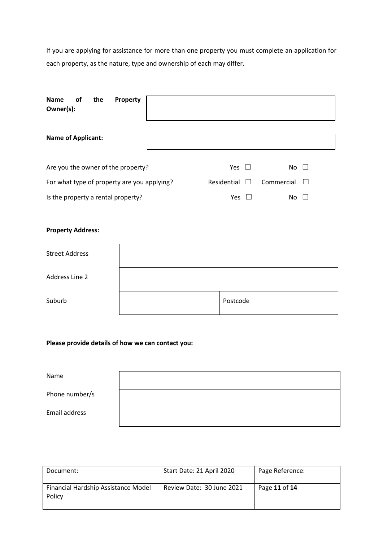If you are applying for assistance for more than one property you must complete an application for each property, as the nature, type and ownership of each may differ.

| Name<br>the<br><b>of</b><br>Property<br>Owner(s): |                                         |            |        |
|---------------------------------------------------|-----------------------------------------|------------|--------|
| <b>Name of Applicant:</b>                         |                                         |            |        |
| Are you the owner of the property?                | Yes<br>$\Box$                           | No         | $\Box$ |
| For what type of property are you applying?       | Residential<br>$\overline{\phantom{0}}$ | Commercial |        |
| Is the property a rental property?                | <b>Yes</b>                              | No         |        |

#### **Property Address:**

| <b>Street Address</b> |          |  |
|-----------------------|----------|--|
| Address Line 2        |          |  |
| Suburb                | Postcode |  |

#### **Please provide details of how we can contact you:**

| Name           |  |
|----------------|--|
| Phone number/s |  |
| Email address  |  |

| Document:                                     | Start Date: 21 April 2020 | Page Reference: |
|-----------------------------------------------|---------------------------|-----------------|
| Financial Hardship Assistance Model<br>Policy | Review Date: 30 June 2021 | Page 11 of 14   |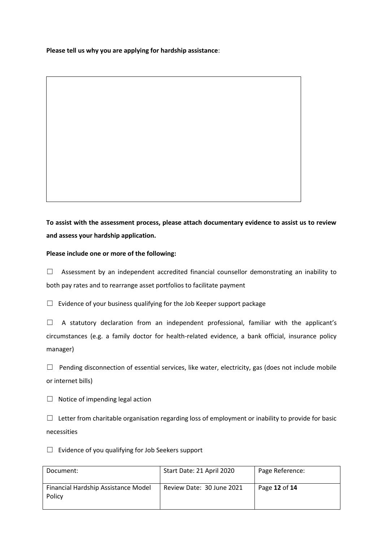**Please tell us why you are applying for hardship assistance**:

**To assist with the assessment process, please attach documentary evidence to assist us to review and assess your hardship application.** 

**Please include one or more of the following:**

□ Assessment by an independent accredited financial counsellor demonstrating an inability to both pay rates and to rearrange asset portfolios to facilitate payment

 $\Box$  Evidence of your business qualifying for the Job Keeper support package

 $\Box$  A statutory declaration from an independent professional, familiar with the applicant's circumstances (e.g. a family doctor for health-related evidence, a bank official, insurance policy manager)

 $\Box$  Pending disconnection of essential services, like water, electricity, gas (does not include mobile or internet bills)

 $\Box$  Notice of impending legal action

 $\Box$  Letter from charitable organisation regarding loss of employment or inability to provide for basic necessities

 $\Box$  Evidence of you qualifying for Job Seekers support

| Document:                                     | Start Date: 21 April 2020 | Page Reference: |
|-----------------------------------------------|---------------------------|-----------------|
| Financial Hardship Assistance Model<br>Policy | Review Date: 30 June 2021 | Page 12 of 14   |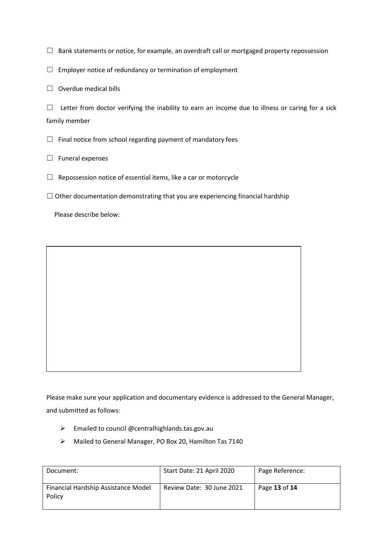$\Box$  Bank statements or notice, for example, an overdraft call or mortgaged property repossession

 $\Box$  Employer notice of redundancy or termination of employment

 $\Box$  Overdue medical bills

 $\Box$  Letter from doctor verifying the inability to earn an income due to illness or caring for a sick family member

 $\Box$  Final notice from school regarding payment of mandatory fees

□ Funeral expenses

 $\Box$  Repossession notice of essential items, like a car or motorcycle

 $\Box$  Other documentation demonstrating that you are experiencing financial hardship

Please describe below:

Please make sure your application and documentary evidence is addressed to the General Manager, and submitted as follows:

- $\triangleright$  Emailed to council @centralhighlands.tas.gov.au
- Mailed to General Manager, PO Box 20, Hamilton Tas 7140

| Document:                                     | Start Date: 21 April 2020 | Page Reference: |
|-----------------------------------------------|---------------------------|-----------------|
| Financial Hardship Assistance Model<br>Policy | Review Date: 30 June 2021 | Page 13 of 14   |